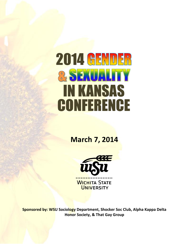# **2014 GENDER** & SEXUALITY IN KANSAS **CONFERENCE**

**March 7, 2014**



**Sponsored by: WSU Sociology Department, Shocker Soc Club, Alpha Kappa Delta Honor Society, & That Gay Group**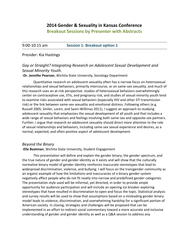# **2014 Gender & Sexuality in Kansas Conference**

# **Breakout Sessions by Presenter with Abstracts**

9:00-10:15 am **Session 1: Breakout option 1**

#### Presider: Kia Hastings

# *Gay or Straight? Integrating Research on Adolescent Sexual Development and Sexual Minority Youth.*

#### **-Dr. Jennifer Pearson**, Wichita State University, Sociology Department

Quantitative research on adolescent sexuality often has a narrow focus on heterosexual relationships and sexual behaviors, primarily intercourse, or on same-sex sexuality, and much of this research uses an at-risk perspective: studies of heterosexual behaviors overwhelmingly center on contraceptive use, STIs, and pregnancy risk, and studies of sexual minority youth tend to examine risks associated with sexual behaviors (especially HIV and other STI transmission risk) or the link between same-sex sexuality and emotional distress. Following others (e.g. Russell 2005; Smiler, Loren, and Savin-Willimas 2011), I suggest an approach to studying adolescent sexuality that emphasizes the sexual development of all youth and that includes a wide range of sexual behaviors and feelings involving both same-sex and opposite-sex partners. Further, I argue that research on adolescent sexuality should direct more attention to the role of sexual relationships and behaviors, including same-sex sexual experience and desires, as a normal, expected, and often positive aspect of adolescent development.

## *Beyond the Binary*

#### **-Elle Boatman**, Wichita State University, Student Engagement

This presentation will define and explain the gender binary, the gender spectrum, and the true nature of gender and gender identity as it exists and will show that the culturally normative binary model of gender identity reinforces inaccurate stereotypes that lead to widespread discrimination, violence, and bullying. I will focus on the transgender community as an organic example of how the limitations and inaccuracies of a binary gender system negatively affect people who do not fit neatly into narrow and predefined gender categories. The presentation style used will be informal, yet directed, in order to provide ample opportunity for audience participation and will include an opening ice breaker exploring stereotypes that have resulted in discrimination to open and focus the topic. Statistical analysis and survey results will be used to show that assumptions based on a misleading gender binary model leads to violence, discrimination, and overwhelming hardship for a significant portion of American society. In closing, strategies and challenges will be proposed that can be implemented in an effort to redirect social commentary toward a more accurate and inclusive understanding of gender and gender identity as well as a Q&A session to address any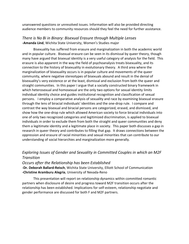unanswered questions or unresolved issues. Information will also be provided directing audience members to community resources should they feel the need for further assistance.

#### *There is No Bi in Binary: Bisexual Erasure through Multiple Lenses* **-Amanda Lind**, Wichita State University, Women's Studies major

Bisexuality has suffered from erasure and marginalization in both the academic world and in popular culture. Bisexual erasure can be seen in its dismissal by queer theory, though many have argued that bisexual identity is a very useful category of analysis for the field. This erasure is also apparent in the way the field of psychoanalysis treats bisexuality, and its connection to the history of bisexuality in evolutionary theory. A third area where the marginalization of bisexuality occurs is in popular culture and movements of the queer community, where negative stereotypes of bisexuals abound and result in the denial of bisexuality's very existence or at the least, dismissal and exclusion from both the queer and straight communities. In this paper I argue that a socially constructed binary framework in which heterosexual and homosexual are the only two options for sexual identity limits individual identity choice and guides institutional recognition and classification of sexual persons. I employ a comparative analysis of sexuality and race by examining bisexual erasure through the lens of biracial individuals' identities and the one-drop rule. I compare and contrast the way bisexual and biracial persons are categorized, erased, and dismissed, and show how the one-drop rule which allowed American society to force biracial individuals into one of only two recognized categories and legitimized discrimination, is applied to bisexual individuals in order to exclude them from both the straight and queer communities and deny them a legitimate identity and a legitimate place in society. This paper both discusses a gap in research in queer theory and contributes to filling that gap. It draws connections between the oppression and erasure of racial minorities and sexual minorities that can contribute to our understanding of social hierarchies and marginalization more generally.

# *Exploring Issues of Gender and Sexuality in Committed Couples in which an M2F Transition*

*Occurs after the Relationship has been Established*

**-Dr. Deborah Ballard-Reisch**, Wichita State University, Elliott School of Communication **-Christine Aramburu Alegria**, University of Nevada-Reno

This presentation will report on relationship dynamics within committed romantic partners when disclosure of desire and progress toward M2F transition occurs after the relationship has been established. Implications for self-esteem, relationship negotiate and gender performance are discussed for both F and M2F partners.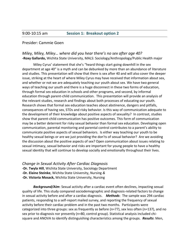#### Presider: Cammie Goen

#### *Miley, Miley, Miley… where did you hear there's no sex after age 40?*  **-Roxy Gallardo,** Wichita State University, MALS: Sociology/Anthropology/Public Health major

Miley Cyrus' statement that she's "heard things start going downhill in the sex department at age 40" is a myth and can be debunked by more than an abundance of literature and studies. This presentation will show that there is sex after 40 and will also cover the deeper issue, striking at the heart of where Miley Cyrus may have received that information about sex, and whether or not we are adequately teaching our youth about sex. We have two general ways of teaching our youth and there is a huge disconnect in these two forms of education, through formal sex education in schools and other programs, and second, by informal education through parent-child communication. This presentation will provide an analysis of the relevant studies, research and findings about both processes of educating our youth. Research shows that formal sex education teaches about abstinence, dangers and pitfalls, consequences of having sex, STDs and risky behavior. Is this way of communication adequate to the development of their knowledge about positive aspects of sexuality? In contrast, studies show that parent-child communication has positive outcomes. This form of communication may be a better deterrent for risky sexual behavior than formal sex education. Developing open communication, parental monitoring and parental control contributes to a parent's ability to communicate positive aspects of sexual behaviors. Is either way teaching our youth to be healthy sexual beings or are we just providing the don'ts of sexual behavior? Are we avoiding the discussion about the positive aspects of sex? Open communication about issues relating to sexual intimacy, sexual behavior and risks are important for young people to have a healthy sexual identity that will continue to develop socially and emotionally throughout their lives.

*Change in Sexual Activity After Cardiac Diagnosis*

**-Dr. Twyla Hill**, Wichita State University, Sociology Department **-Dr. Elaine Steinke**, Wichita State University, Nursing *&* **-Dr. Victoria Mosack,** Wichita State University, Nursing

*Background/Aim*: Sexual activity after a cardiac event often declines, impacting sexual quality of life. This study compared sociodemographic and diagnosis-related factors to change in sexual activity before and after a cardiac diagnosis. *Methods*: The sample was 294 cardiac patients, responding to a self-report mailed survey, and reporting the frequency of sexual activity before their cardiac problem and in the past two months. Participants were categorized into three groups: sex as frequently as before (n=77), sex less often (n=137), and no sex prior to diagnosis nor presently (n=80, control group). Statistical analysis included chisquare and ANOVA to identify distinguishing characteristics among the groups. *Results*: Men,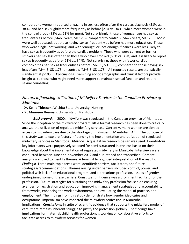compared to women, reported engaging in sex less often after the cardiac diagnosis (51% vs. 38%), and had sex slightly more frequently as before (27% vs. 34%), while more women were in the control group (38% vs. 21% for men). Not surprisingly, those of younger age had sex as frequently as before (M=63 years, SD 12.6), compared to controls (M=72 years, SD 12.8). Most were well educated, but those having sex as frequently as before had more education. Those who were single, not working, and with 'enough' or 'not enough' finances were less likely to have sex as frequently as before the cardiac problem. Those who were current or former smokers had sex less often than those who never smoked (55% vs. 33%) and less likely to report sex as frequently as before (21% vs. 34%). Not surprising, those with fewer cardiac comorbidities had sex as frequently as before (M=3.5, SD 1.68), compared to those having sex less often (M=4.3, SD 1.73) or controls (M=3.8, SD 1.78). All reported results are statistically significant at p<.05. *Conclusions*: Examining sociodemographic and clinical factors provide insight as to those who might need more support to maintain sexual function and require sexual counseling.

# *Factors Influencing Utilization of Midwifery Services in the Canadian Province of Manitoba*

**-Dr. Kellie Thiessen,** Wichita State University, Nursing **-Dr. Maureen Heaman,** University of Manitoba

*Background*: In 2000, midwifery was regulated in the Canadian province of Manitoba. Since the inception of the midwifery program, little formal research has been done to critically analyze the utilization of regulated midwifery services. Currently, many women are denied access to midwifery care due to the shortage of midwives in Manitoba. *Aim*: The purpose of this study was to explore factors influencing the implementation and utilization of regulated midwifery services in Manitoba. *Method*: A qualitative research design was used. Twenty-four key informants were purposively selected for semi-structured interviews based on their knowledge about the implementation of regulated midwifery in Manitoba. Interviews were conducted between June and November 2012 and audiotaped and transcribed. Content analysis was used to identify themes. A feminist lens guided interpretation of the results. *Findings:* Three main topic areas were identified: barriers, facilitators, and future strategies/recommendations. Themes arising under barriers included conflict, power, and political will; lack of an educational program; and a precarious profession. Issues of gender underpinned some of these barriers. Constituent influence was a prominent facilitator of the profession. Future strategies for sustaining the midwifery profession focused on ensuring avenues for registration and education, improving management strategies and accountability frameworks, enhancing the work environment, and evaluating the model of practice, and employment. The findings from this study demonstrate how gender ideologies and occupational imperialism have impacted the midwifery profession in Manitoba. Implications. *Conclusions*: In spite of scientific evidence that supports the midwifery model of care, there remains inherent struggle to justify the profession globally. The findings have implications for maternal/child health professionals working on collaborative efforts to facilitate access to midwifery services for women.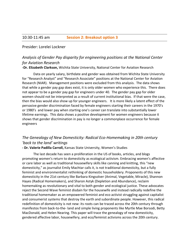#### 10:30-11:45 am **Session 2: Breakout option 3**

#### Presider: Lorelei Lockner

# *Analysis of Gender Pay disparity for engineering positions at the National Center for Aviation Research*

**-Dr. Elizabeth Clarkson,** Wichita State University, National Center for Aviation Research

Data on yearly salary, birthdate and gender was obtained from Wichita State University for "Research Analyst" and "Research Associate" positions at the National Center for Aviation Research (NIAR). Management positions were excluded from this analysis. The data shows that while a gender pay gap does exist, it is only older women who experience this. There does not appear to be a gender pay gap for engineers under 40. The gender pay gap for older women should not be interpreted as a result of current institutional bias. If that were the case, then the bias would also show up for younger engineers. It is more likely a latent effect of the pervasive gender discrimination faced by female engineers starting their careers in the 1970's or 1980's and lower pay when starting one's career can translate into substantially lower lifetime earnings. This data shows a positive development for women engineers because it shows that gender discrimination in pay is no longer a commonplace occurrence for female engineers

# *The Genealogy of New Domesticity: Radical Eco-Homemaking in 20th century 'back to the land' writings*

#### **- Dr. Valerie Padilla Carroll,** Kansas State University, Women's Studies

The last decade has seen a proliferation in the US of books, articles, and blogs promoting women's return to domesticity as ecological activism. Embracing women's affective or care labor as well as traditional housewifery skills like canning and knitting, this "new domesticity," as journalist Emily Machtar calls it, is not traditional domesticity, but a fully feminist and environmentalist rethinking of domestic householdery. Proponents of this new domesticity in the 21st century like Barbara Kingsolver (Animal, Vegetable, Miracle), Shannon Hayes (Radical Homemakers), and Sharon Astyk (Depletion and Abundance), reclaim homemaking as revolutionary and vital to both gender and ecological justice. These advocates reject the Second Wave feminist disdain for the housewife and instead radically redefine the traditional homemaker as an empowered feminist and eco activist struggling against capitalist and consumerist systems that destroy the earth and subordinate people. However, this radical redefinition of domesticity is not new: its roots can be traced across the 20th century through manifestos from back-to-the- land and simple living proponents like Myrtle Mae Borsodi, Betty MacDonald, and Helen Nearing. This paper will trace the genealogy of new domesticity, gendered affective labor, housewifery, and eco/feminist activisms across the 20th century.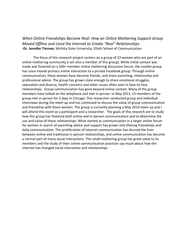*When Online Friendships Become Real: How an Online Mothering Support Group Moved Offline and Used the Internet to Create "Real" Relationships* **-Dr. Jennifer Tiernan,** Wichita State University, Elliott School of Communication

The focus of this research project centers on a group of 23 women who are part of an online mothering community (I am also a member of this group). While initial contact was made and fostered on a 500+ member online mothering discussion forum, the smaller group has since moved primary online interaction to a private Facebook group. Through online communication, these women have become friends, and share parenting, relationship and professional advice. The group has grown close enough to share emotional struggles, separation and divorce, health concerns and other issues often seen in face-to-face relationships. Group communication has gone beyond online contact. Many of the group members have talked on the telephone and met in person. In May 2013, 13 members of the group met in person for 3 days in Chicago. This researcher conducted group and individual interviews during the meet-up and has continued to discuss the value of group communication and friendship with these women. The group is currently planning a May 2014 meet-up and I will attend this event as a participant and a researcher. The goals of this research are to study how this group has fostered both online and in-person communication and to determine the use and value of these relationships. What started as communication in a larger online forum for women in search of parenting advice and support has grown into lifelong friendships and daily communication. The proliferation of Internet communication has blurred the lines between online and traditional in-person relationships, and online communication has become a normal part of many social interactions. This small mothering group has great value to its members and the study of their online communication practices say much about how the Internet has changed social interaction and relationships.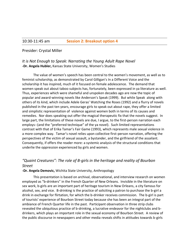#### Presider: Crystal Miller

## *It is Not Enough to Speak: Narrating the Young Adult Rape Novel* **-Dr. Angela Hubler,** Kansas State University, Women's Studies

The value of women's speech has been central to the women's movement, as well as to feminist scholarship, as demonstrated by Carol Gilligan's In a Different Voice and the scholarship it has inspired, much of it focused on female adolescence. The demand that women speak out about taboo subjects has, fortunately, been expressed in ya literature as well. Thus, experiences which were shameful and unspoken decades ago are now the topic of popular and award-winning novels like Anderson's Speak (1999). But while Speak along with others of its kind, which include Adele Geras' Watching the Roses (1992) and a flurry of novels published in the past ten years, encourage girls to speak out about rape, they offer a limited and simplistic representation of violence against women both in terms of its causes and remedies. Nor does speaking out offer the magical therapeutic fix that the novels suggest. In large part, the limitations of these novels are due, I argue, to the first-person narration each employs--(and the "preferred technique" of the ya novel). Such limited representations contrast with that of Erika Tamar's Fair Game (1993), which represents male sexual violence in a more complex way. Tamar's novel relies upon collective first-person narration, offering the perspectives of the victim of sexual assault, a bystander, and the girlfriend of the assailant. Consequently, if offers the reader more: a systemic analysis of the structural conditions that underlie the oppression experienced by girls and women.

# *"Quaint Creatures": The role of B-girls in the heritage and reality of Bourbon Street*

#### **-Dr. Angela Demovic,** Wichita State University, Anthropology

This presentation is based on archival, observational, and interview research on women employed as "b-drinkers" in the French Quarter of New Orleans. Invisible in the literature on sex work, b-girls are an important part of heritage tourism in New Orleans, a city famous for alcohol, sex, and vice. B-drinking is the practice of soliciting a patron to purchase the b-girl a drink in exchange for flirtation, for which the b-drinker receives commission. The b-girl is part of tourists' experience of Bourbon Street today because she has been an integral part of the ambiance of French Quarter life in the past. Participant observation in three strip clubs revealed the ubiquitous practice of b-drinking, a lucrative endeavor for the nightclubs and bdrinkers, which plays an important role in the sexual economy of Bourbon Street. A review of the public discourse in newspapers and other media reveals shifts in attitudes towards b-girls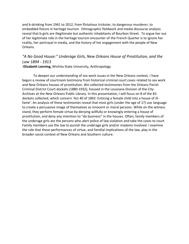and b-drinking from 1941 to 2012, from flirtatious trickster, to dangerous murderer, to embedded fixture in heritage tourism. Ethnographic fieldwork and media discourse analysis reveal that b-girls are illegitimate but authentic inhabitants of Bourbon Street. To argue her out of her legitimate role in the heritage tourism encounter of the French Quarter is to ignore her reality, her portrayal in media, and the history of her engagement with the people of New Orleans.

# *"A No Good House:" Underage Girls, New Orleans House of Prostitution, and the Law 1894 - 1913*

**-Elizabeth Lonning,** Wichita State University, Anthropology

To deepen our understanding of sex work issues in the New Orleans context, I have begun a review of courtroom testimony from historical criminal court cases related to sex work and New Orleans houses of prostitution. We collected testimonies from the Orleans Parish Criminal District Court dockets (1880-1932), housed in the Louisiana Division of the City Archives at the New Orleans Public Library. In this presentation, I will focus on 8 of the 83 dockets collected, which concern 'Act 40 of 1892: Enticing a female child into a house of illfame'. An analysis of these testimonies reveal that most girls (under the age of 17) use language to create a persuasive image of themselves as innocent or moral persons. While on the witness stand, they perform female virtue by denying willfully or knowingly entering a house of prostitution, and deny any intention to "do business" in the houses. Often, family members of the underage girls are the persons who alert police of law violation and take the cases to court. Family members use the law to punish the underage girls and/or madams involved. I examine the role that these performances of virtue, and familial implications of the law, play in the broader social context of New Orleans and Southern culture.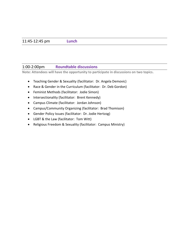## 1:00-2:00pm **Roundtable discussions**

**Note: Attendees will have the opportunity to participate in discussions on two topics.**

- Teaching Gender & Sexuality (facilitator: Dr. Angela Demovic)
- Race & Gender in the Curriculum (facilitator: Dr. Deb Gordon)
- Feminist Methods (facilitator: Jodie Simon)
- Intersectionality (facilitator: Brent Kennedy)
- Campus Climate (facilitator: Jordan Johnson)
- Campus/Community Organizing (facilitator: Brad Thomison)
- Gender Policy Issues (facilitator: Dr. Jodie Hertzog)
- LGBT & the Law (facilitator: Tom Witt)
- Religious Freedom & Sexuality (facilitator: Campus Ministry)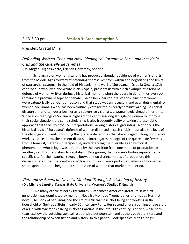#### Presider: Crystal Miller

## *Defending Women, Then and Now: Ideological Currents in Sor Juana Inés de la Cruz and the Querelle de femmes* **-Dr. Megan Hughes-Zarzo,** Friends University, Spanish

Scholarship on women's writing has produced abundant evidence of women's efforts from the Middle Ages forward at defending themselves from within and negotiating the limits of patriarchal systems. In the field of Hispanism the work of Sor Juana Inés de la Cruz, a 17th century nun who lived and wrote in New Spain, presents us with a rich example of a fervent defense of women written during a historical moment when the querelle de femmes even yet remained a prominent topic for debate. Given her clear rebuttal of the claims that women were categorically deficient of reason and that study was unnecessary and even detrimental for women, Sor Juana's work has been routinely categorized as "early feminist writing" in critical discourse that often describes her as a subversive visionary, a woman truly ahead of her time. While such readings of Sor Juana highlight the centuries-long struggle of women to improve their social situation, the same scholarship is also frequently guilty of taking a presentistic approach that tends to produce interpretations lacking historical grounding. Not only is the historical logic of Sor Juana's defense of women distorted in such criticism but also the logic of the ideological currents informing the querelle de femmes that she engaged. Using Sor Juana's work as a case study, the present discussion interrogates the logic of the querelle de femmes from a feminist/materialist perspective, understanding the querelle as an historical phenomenon whose logic was informed by the transition from one mode of production to another, i.e., from feudalism to capitalism. Recognizing that women's bodies represented a specific site for the historical struggle between two distinct modes of production, this discussion examines the ideological extraction of Sor Juana's particular defense of women as she responded to the heightened suppression of women that marked the period.

#### *Vietnamese American Novelist Monique Truong's Revisioning of History* **-Dr. Michele Janette,** Kansas State University, Women's Studies & English

Like many ethnic minority literatures, Vietnamese American literature in its first generation was dominated by memoir. Novelist Monique Truong defies this model. Her first novel, The Book of Salt, imagined the life of a Vietnamese chef living and working in the household of Gertrude Stein in early 20th century Paris. Her second offers a coming of age story of a girl with synesthesia living in North Carolina in the late 20th century. And yet, while both texts eschew the autobiographical relationship between text and author, both are interested in the relationship between fiction and history. In this paper, I look specifically at Truong's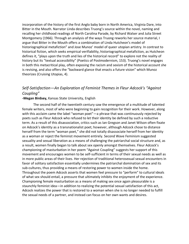incorporation of the history of the first Anglo baby born in North America, Virginia Dare, into Bitter in the Mouth. Narrator Linda describes Truong's source within the novel, naming and recalling her childhood readings of North Carolina Parade, by Richard Walser and Julia Street Montgomery (1966). Through an analysis of the ways Truong reworks her source material, I argue that Bitter in the Mouth offers a combination of Linda Hutcheon's model of historiographical metafiction" and Jose Munoz' model of queer utopian artistry. In contrast to historical fiction, which seeks empirical verifiability, historiographical metafiction, as Hutcheon defines it, "plays upon the truth and lies of the historical record" to explore not the reality of history but its "textual accessibility" (Poetics of Postmodernism, 153). Truong's novel engages in both this metacritical play, often exposing the racism and sexism of the historical account she is revising, and also offers the "backward glance that enacts a future vision" which Munoz theorizes (Cruising Utopias, 4).

# *Self-Satisfaction—An Exploration of Feminist Themes in Fleur Adcock's "Against Coupling"*

#### **-Megan Birdsey,** Kansas State University, English

The second half of the twentieth century saw the emergence of a multitude of talented female writers, most of who were beginning to gain recognition for their work. However, along with this acclaim came the label "woman poet"—a phrase that was continuously rejected by poets such as Fleur Adcock who refused to let their identity be defined by such a reductive term. As a result of this disassociation, critics such as Ian Gregson and Janet Wilson often fixate on Adcock's identity as a transnationalist poet; however, although Adcock chose to distance herself from the term "woman poet," she did not totally disassociate herself from her identity as a woman or reject the feminist movement entirely. Second Wave Feminism suggested sexuality and sexual liberation as a means of challenging the patriarchal social structure and, as a result, women finally began to talk about sex openly amongst themselves. Fleur Adcock's championing of masturbation in her poem "Against Coupling" suggests her support of this movement and encourages women to be self-sufficient in terms of their sexual needs as well as in more public areas of their lives. Her rejection of traditional heterosexual sexual encounters in favor of solitary satisfaction essentially undermines the patriarchal domination of sex and its sub-cultures, thus providing a means of restoring power to women inside the home. Throughout the poem Adcock asserts that women feel pressure to "perform" to cultural ideals of what sex should entail, a pressure that ultimately inhibits the enjoyment of the experience. Championing female masturbation as a means of making sex once again pleasurable is a staunchly feminist idea—in addition to realizing the potential sexual satisfaction of this act, Adcock realizes the power that is restored to a woman when she is no longer needed to fulfill the sexual needs of a partner, and instead can focus on her own wants and desires.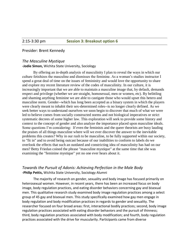#### Presider: Brent Kennedy

#### *The Masculine Mystique*

**-Jodie Simon,** Wichita State University, Sociology

By offering an in-depth analysis of masculinity I plan to reveal the ways in which our culture fetishizes the masculine and dismisses the feminine. As a woman's studies instructor I spend a great deal of time on the issues of femininity and would love the opportunity to share and explore my recent literature review of the codes of masculinity. In our culture, it is increasingly important that we are able to maintain a masculine image that, by default, demands respect and privilege (whether we are straight, homosexual, men or women, etc). By belittling and shaming anything feminine we are able to castigate those who would upset this hetero and masculine norm. Gender--which has long been accepted as a binary system in which the players were clearly meant to inhabit their sex-determined roles--is no longer clearly defined. As we seek better ways to understand ourselves we soon begin to discover that much of what we were led to believe comes from socially constructed norms and not biological imperatives or strict systematic decrees of some higher law. This exploration will seek to provide some history and context to the concept of gender and also analyze the importance placed upon masculine ideals. Some questions I'm considering: If even the feminists and the queer theorists are busy lauding the praises of all things masculine where will we ever discover the answer to the inevitable problems this creates? Why in our rush to be masculine, to be fully supported within our society, to "fit in" and to avoid being outcast because of our inabilities to conform to labels do we overlook the effects that such an outdated and constricting idea of masculinity has had on our men? Betty Friedan coined the phrase "masculine mystique" at the same time that she was examining the "feminine mystique" yet no one ever hears about it.

#### *Towards the Pursuit of Adonis: Achieving Perfection in the Male Body* **-Philip Pettis,** Wichita State University, Sociology Alumni

The majority of research on gender, sexuality and body image has focused primarily on heterosexual women. However, in recent years, there has been an increased focus on body image, body regulation practices, and eating disorder behaviors concerning gay and bisexual men. This qualitative research study examined body image regulation practices among a select group of 45 gay and bisexual men. This study specifically examined how gay men engage in body regulation and body modification practices in regards to gender and sexuality. The researcher focused on four broad areas: first, interactional bodily practices; second, body image regulation practices associated with eating disorder behaviors and the pursuit of thinness; third, body regulation practices associated with body modification; and fourth, body regulation practices associated with the drive for muscularity. Participants came from diverse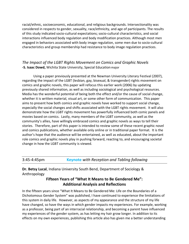racial/ethnic, socioeconomic, educational, and religious backgrounds. Intersectionality was considered in respects to gender, sexuality, race/ethnicity, and age of participants. The results of this study indicated socio-cultural expectations; socio-cultural characteristics, and social interactions influenced body regulation and body modification practices. Although most men engaged in behaviors associated with body image regulation, some men due to socio-cultural characteristics and group membership had resistance to body image regulation practices.

# *The Impact of the LGBT Rights Movement on Comics and Graphic Novels* **-S. Isaac Dowd,** Wichita State University, Special Educationmajor

Using a paper previously presented at the Newman University Literary Festival (2007), regarding the impact of the LGBT (lesbian, gay, bisexual, & transgender) rights movement on comics and graphic novels, this paper will refocus this earlier work (2006) by updating previously shared information, as well as including sociological and psychological resources. Media has the wonderful potential of being both the effect and/or the cause of social change, whether it is written material, visual art, or some other form of communication. This paper aims to present how both comics and graphic novels have worked to support social change, especially the social changes and shifts associated with the LGBT rights movement. It will also demonstrate how the LGBT rights movement has powerfully influenced both comic panels and movies based on comics. Lastly, many members of the LGBT community, as well as the community's allies, have willingly embraced comics and graphic novels as ways to tell their stories. Therefore, part of this paper is intended to review some of these recent graphic novel and comics publications, whether available only online or in traditional paper format. It is the author's hope that the audience will be entertained, as well as educated, about the important role comics and graphic novels play in pushing forward, reacting to, and encouraging societal change in how the LGBT community is viewed.

3:45-4:45pm **Keynote** *with Reception and Tabling following*

**Dr. Betsy Lucal**, Indiana University South Bend, Department of Sociology & Anthropology

# **Fifteen Years of "What It Means to Be Gendered Me": Additional Analysis and Reflections**

In the fifteen years since "What It Means to Be Gendered Me: Life on the Boundaries of a Dichotomous Gender System" was published, I have continued to experience the limitations of this system in daily life. However, as aspects of my appearance and the structure of my life have changed, so have the ways in which gender impacts my experiences. For example, working as a professor, being part of an interracial relationship, and becoming a parent have influenced my experiences of the gender system, as has letting my hair grow longer. In addition to its effects on my own experiences, publishing this article also has given me a better understanding